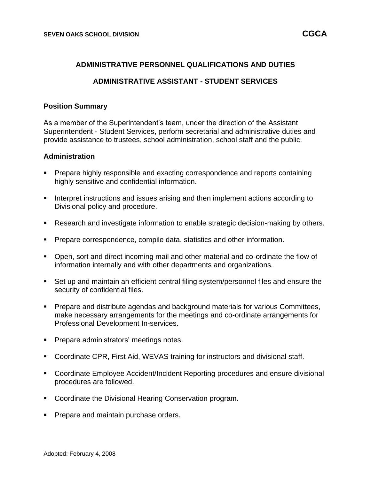#### **ADMINISTRATIVE PERSONNEL QUALIFICATIONS AND DUTIES**

## **ADMINISTRATIVE ASSISTANT - STUDENT SERVICES**

#### **Position Summary**

As a member of the Superintendent's team, under the direction of the Assistant Superintendent - Student Services, perform secretarial and administrative duties and provide assistance to trustees, school administration, school staff and the public.

#### **Administration**

- Prepare highly responsible and exacting correspondence and reports containing highly sensitive and confidential information.
- Interpret instructions and issues arising and then implement actions according to Divisional policy and procedure.
- Research and investigate information to enable strategic decision-making by others.
- Prepare correspondence, compile data, statistics and other information.
- Open, sort and direct incoming mail and other material and co-ordinate the flow of information internally and with other departments and organizations.
- Set up and maintain an efficient central filing system/personnel files and ensure the security of confidential files.
- Prepare and distribute agendas and background materials for various Committees, make necessary arrangements for the meetings and co-ordinate arrangements for Professional Development In-services.
- Prepare administrators' meetings notes.
- Coordinate CPR, First Aid, WEVAS training for instructors and divisional staff.
- Coordinate Employee Accident/Incident Reporting procedures and ensure divisional procedures are followed.
- Coordinate the Divisional Hearing Conservation program.
- **Prepare and maintain purchase orders.**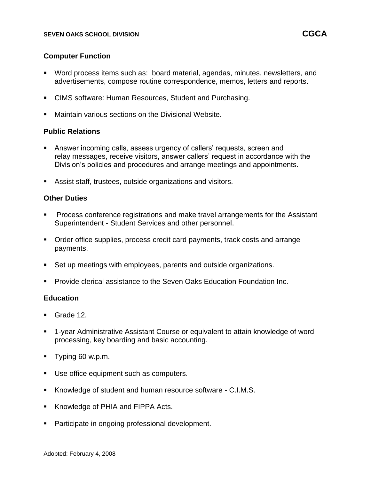## **Computer Function**

- Word process items such as: board material, agendas, minutes, newsletters, and advertisements, compose routine correspondence, memos, letters and reports.
- **CIMS software: Human Resources, Student and Purchasing.**
- Maintain various sections on the Divisional Website.

### **Public Relations**

- Answer incoming calls, assess urgency of callers' requests, screen and relay messages, receive visitors, answer callers' request in accordance with the Division's policies and procedures and arrange meetings and appointments.
- Assist staff, trustees, outside organizations and visitors.

## **Other Duties**

- Process conference registrations and make travel arrangements for the Assistant Superintendent - Student Services and other personnel.
- Order office supplies, process credit card payments, track costs and arrange payments.
- Set up meetings with employees, parents and outside organizations.
- Provide clerical assistance to the Seven Oaks Education Foundation Inc.

#### **Education**

- Grade 12
- 1-year Administrative Assistant Course or equivalent to attain knowledge of word processing, key boarding and basic accounting.
- Typing 60 w.p.m.
- Use office equipment such as computers.
- Knowledge of student and human resource software C.I.M.S.
- Knowledge of PHIA and FIPPA Acts.
- Participate in ongoing professional development.